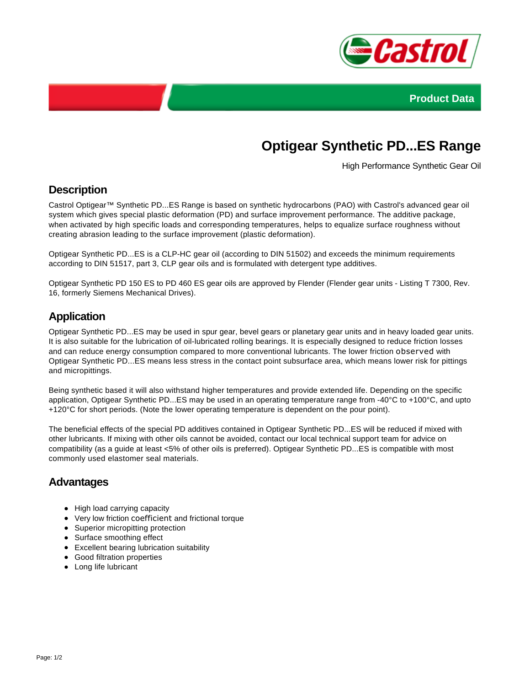



# **Optigear Synthetic PD...ES Range**

High Performance Synthetic Gear Oil

### **Description**

Castrol Optigear™ Synthetic PD...ES Range is based on synthetic hydrocarbons (PAO) with Castrol's advanced gear oil system which gives special plastic deformation (PD) and surface improvement performance. The additive package, when activated by high specific loads and corresponding temperatures, helps to equalize surface roughness without creating abrasion leading to the surface improvement (plastic deformation).

Optigear Synthetic PD...ES is a CLP-HC gear oil (according to DIN 51502) and exceeds the minimum requirements according to DIN 51517, part 3, CLP gear oils and is formulated with detergent type additives.

Optigear Synthetic PD 150 ES to PD 460 ES gear oils are approved by Flender (Flender gear units - Listing T 7300, Rev. 16, formerly Siemens Mechanical Drives).

## **Application**

Optigear Synthetic PD...ES may be used in spur gear, bevel gears or planetary gear units and in heavy loaded gear units. It is also suitable for the lubrication of oil-lubricated rolling bearings. It is especially designed to reduce friction losses and can reduce energy consumption compared to more conventional lubricants. The lower friction observed with Optigear Synthetic PD...ES means less stress in the contact point subsurface area, which means lower risk for pittings and micropittings.

Being synthetic based it will also withstand higher temperatures and provide extended life. Depending on the specific application, Optigear Synthetic PD...ES may be used in an operating temperature range from -40°C to +100°C, and upto +120°C for short periods. (Note the lower operating temperature is dependent on the pour point).

The beneficial effects of the special PD additives contained in Optigear Synthetic PD...ES will be reduced if mixed with other lubricants. If mixing with other oils cannot be avoided, contact our local technical support team for advice on compatibility (as a guide at least <5% of other oils is preferred). Optigear Synthetic PD...ES is compatible with most commonly used elastomer seal materials.

#### **Advantages**

- High load carrying capacity
- Very low friction coefficient and frictional torque
- Superior micropitting protection
- Surface smoothing effect
- Excellent bearing lubrication suitability
- Good filtration properties
- Long life lubricant